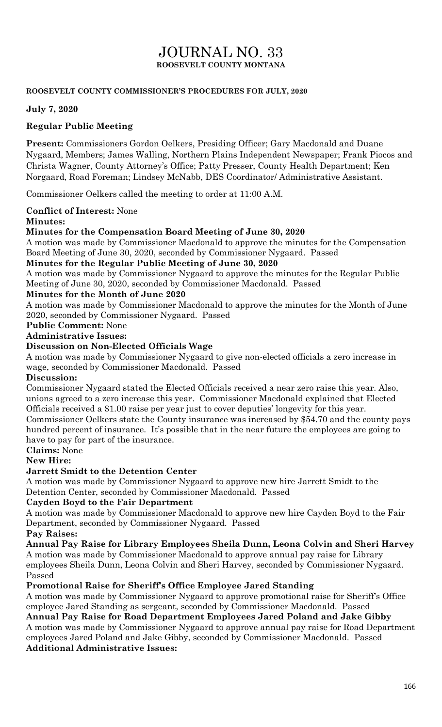# JOURNAL NO. 33 **ROOSEVELT COUNTY MONTANA**

#### **ROOSEVELT COUNTY COMMISSIONER'S PROCEDURES FOR JULY, 2020**

#### **July 7, 2020**

#### **Regular Public Meeting**

**Present:** Commissioners Gordon Oelkers, Presiding Officer; Gary Macdonald and Duane Nygaard, Members; James Walling, Northern Plains Independent Newspaper; Frank Piocos and Christa Wagner, County Attorney's Office; Patty Presser, County Health Department; Ken Norgaard, Road Foreman; Lindsey McNabb, DES Coordinator/ Administrative Assistant.

Commissioner Oelkers called the meeting to order at 11:00 A.M.

**Conflict of Interest:** None

#### **Minutes:**

#### **Minutes for the Compensation Board Meeting of June 30, 2020**

A motion was made by Commissioner Macdonald to approve the minutes for the Compensation Board Meeting of June 30, 2020, seconded by Commissioner Nygaard. Passed

#### **Minutes for the Regular Public Meeting of June 30, 2020**

A motion was made by Commissioner Nygaard to approve the minutes for the Regular Public Meeting of June 30, 2020, seconded by Commissioner Macdonald. Passed

#### **Minutes for the Month of June 2020**

A motion was made by Commissioner Macdonald to approve the minutes for the Month of June 2020, seconded by Commissioner Nygaard. Passed

#### **Public Comment:** None

#### **Administrative Issues:**

#### **Discussion on Non-Elected Officials Wage**

A motion was made by Commissioner Nygaard to give non-elected officials a zero increase in wage, seconded by Commissioner Macdonald. Passed

#### **Discussion:**

Commissioner Nygaard stated the Elected Officials received a near zero raise this year. Also, unions agreed to a zero increase this year. Commissioner Macdonald explained that Elected Officials received a \$1.00 raise per year just to cover deputies' longevity for this year.

Commissioner Oelkers state the County insurance was increased by \$54.70 and the county pays hundred percent of insurance. It's possible that in the near future the employees are going to have to pay for part of the insurance.

### **Claims:** None

#### **New Hire:**

#### **Jarrett Smidt to the Detention Center**

A motion was made by Commissioner Nygaard to approve new hire Jarrett Smidt to the Detention Center, seconded by Commissioner Macdonald. Passed

#### **Cayden Boyd to the Fair Department**

A motion was made by Commissioner Macdonald to approve new hire Cayden Boyd to the Fair Department, seconded by Commissioner Nygaard. Passed

#### **Pay Raises:**

**Annual Pay Raise for Library Employees Sheila Dunn, Leona Colvin and Sheri Harvey** A motion was made by Commissioner Macdonald to approve annual pay raise for Library employees Sheila Dunn, Leona Colvin and Sheri Harvey, seconded by Commissioner Nygaard. Passed

#### **Promotional Raise for Sheriff's Office Employee Jared Standing**

A motion was made by Commissioner Nygaard to approve promotional raise for Sheriff's Office employee Jared Standing as sergeant, seconded by Commissioner Macdonald. Passed

**Annual Pay Raise for Road Department Employees Jared Poland and Jake Gibby**  A motion was made by Commissioner Nygaard to approve annual pay raise for Road Department

employees Jared Poland and Jake Gibby, seconded by Commissioner Macdonald. Passed **Additional Administrative Issues:**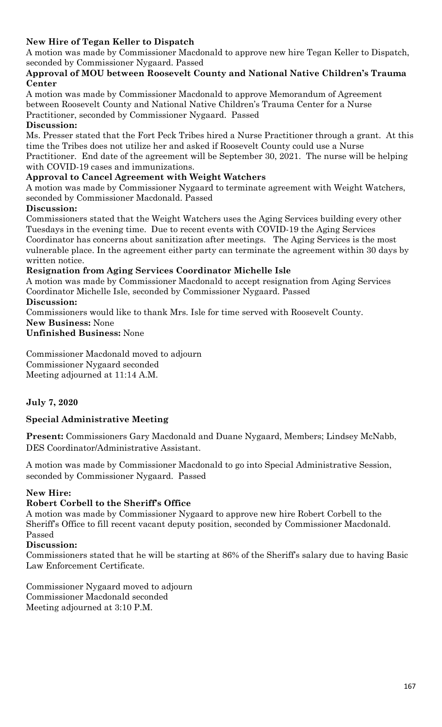# **New Hire of Tegan Keller to Dispatch**

A motion was made by Commissioner Macdonald to approve new hire Tegan Keller to Dispatch, seconded by Commissioner Nygaard. Passed

#### **Approval of MOU between Roosevelt County and National Native Children's Trauma Center**

A motion was made by Commissioner Macdonald to approve Memorandum of Agreement between Roosevelt County and National Native Children's Trauma Center for a Nurse Practitioner, seconded by Commissioner Nygaard. Passed

#### **Discussion:**

Ms. Presser stated that the Fort Peck Tribes hired a Nurse Practitioner through a grant. At this time the Tribes does not utilize her and asked if Roosevelt County could use a Nurse Practitioner. End date of the agreement will be September 30, 2021. The nurse will be helping with COVID-19 cases and immunizations.

# **Approval to Cancel Agreement with Weight Watchers**

A motion was made by Commissioner Nygaard to terminate agreement with Weight Watchers, seconded by Commissioner Macdonald. Passed

### **Discussion:**

Commissioners stated that the Weight Watchers uses the Aging Services building every other Tuesdays in the evening time. Due to recent events with COVID-19 the Aging Services Coordinator has concerns about sanitization after meetings. The Aging Services is the most vulnerable place. In the agreement either party can terminate the agreement within 30 days by written notice.

### **Resignation from Aging Services Coordinator Michelle Isle**

A motion was made by Commissioner Macdonald to accept resignation from Aging Services Coordinator Michelle Isle, seconded by Commissioner Nygaard. Passed **Discussion:**

Commissioners would like to thank Mrs. Isle for time served with Roosevelt County.

**New Business:** None

**Unfinished Business:** None

Commissioner Macdonald moved to adjourn Commissioner Nygaard seconded Meeting adjourned at 11:14 A.M.

# **July 7, 2020**

# **Special Administrative Meeting**

**Present:** Commissioners Gary Macdonald and Duane Nygaard, Members; Lindsey McNabb, DES Coordinator/Administrative Assistant.

A motion was made by Commissioner Macdonald to go into Special Administrative Session, seconded by Commissioner Nygaard. Passed

#### **New Hire:**

# **Robert Corbell to the Sheriff's Office**

A motion was made by Commissioner Nygaard to approve new hire Robert Corbell to the Sheriff's Office to fill recent vacant deputy position, seconded by Commissioner Macdonald. Passed

#### **Discussion:**

Commissioners stated that he will be starting at 86% of the Sheriff's salary due to having Basic Law Enforcement Certificate.

Commissioner Nygaard moved to adjourn Commissioner Macdonald seconded Meeting adjourned at 3:10 P.M.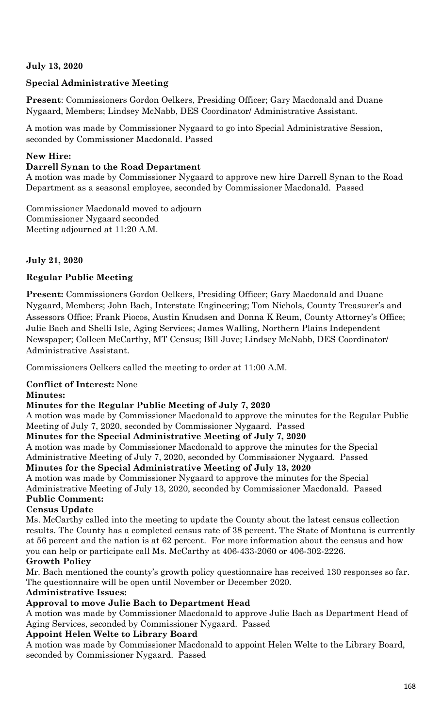# **July 13, 2020**

# **Special Administrative Meeting**

**Present**: Commissioners Gordon Oelkers, Presiding Officer; Gary Macdonald and Duane Nygaard, Members; Lindsey McNabb, DES Coordinator/ Administrative Assistant.

A motion was made by Commissioner Nygaard to go into Special Administrative Session, seconded by Commissioner Macdonald. Passed

# **New Hire:**

#### **Darrell Synan to the Road Department**

A motion was made by Commissioner Nygaard to approve new hire Darrell Synan to the Road Department as a seasonal employee, seconded by Commissioner Macdonald. Passed

Commissioner Macdonald moved to adjourn Commissioner Nygaard seconded Meeting adjourned at 11:20 A.M.

### **July 21, 2020**

# **Regular Public Meeting**

**Present:** Commissioners Gordon Oelkers, Presiding Officer; Gary Macdonald and Duane Nygaard, Members; John Bach, Interstate Engineering; Tom Nichols, County Treasurer's and Assessors Office; Frank Piocos, Austin Knudsen and Donna K Reum, County Attorney's Office; Julie Bach and Shelli Isle, Aging Services; James Walling, Northern Plains Independent Newspaper; Colleen McCarthy, MT Census; Bill Juve; Lindsey McNabb, DES Coordinator/ Administrative Assistant.

Commissioners Oelkers called the meeting to order at 11:00 A.M.

#### **Conflict of Interest:** None

#### **Minutes:**

#### **Minutes for the Regular Public Meeting of July 7, 2020**

A motion was made by Commissioner Macdonald to approve the minutes for the Regular Public Meeting of July 7, 2020, seconded by Commissioner Nygaard. Passed

#### **Minutes for the Special Administrative Meeting of July 7, 2020**

A motion was made by Commissioner Macdonald to approve the minutes for the Special Administrative Meeting of July 7, 2020, seconded by Commissioner Nygaard. Passed

# **Minutes for the Special Administrative Meeting of July 13, 2020**

A motion was made by Commissioner Nygaard to approve the minutes for the Special Administrative Meeting of July 13, 2020, seconded by Commissioner Macdonald. Passed **Public Comment:**

# **Census Update**

Ms. McCarthy called into the meeting to update the County about the latest census collection results. The County has a completed census rate of 38 percent. The State of Montana is currently at 56 percent and the nation is at 62 percent. For more information about the census and how you can help or participate call Ms. McCarthy at 406-433-2060 or 406-302-2226.

# **Growth Policy**

Mr. Bach mentioned the county's growth policy questionnaire has received 130 responses so far. The questionnaire will be open until November or December 2020.

#### **Administrative Issues:**

# **Approval to move Julie Bach to Department Head**

A motion was made by Commissioner Macdonald to approve Julie Bach as Department Head of Aging Services, seconded by Commissioner Nygaard. Passed

#### **Appoint Helen Welte to Library Board**

A motion was made by Commissioner Macdonald to appoint Helen Welte to the Library Board, seconded by Commissioner Nygaard. Passed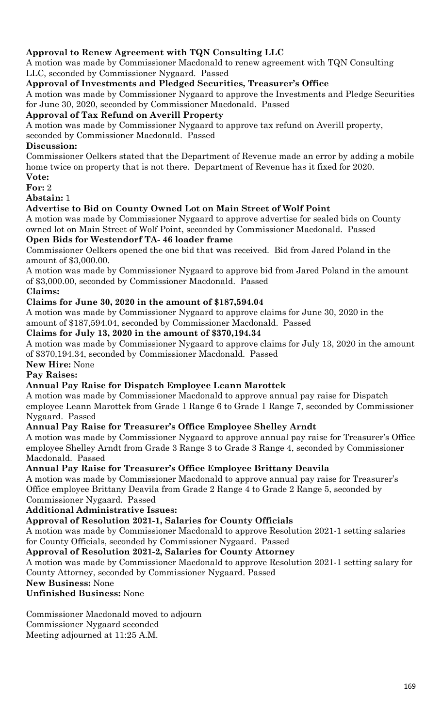# **Approval to Renew Agreement with TQN Consulting LLC**

A motion was made by Commissioner Macdonald to renew agreement with TQN Consulting LLC, seconded by Commissioner Nygaard. Passed

### **Approval of Investments and Pledged Securities, Treasurer's Office**

A motion was made by Commissioner Nygaard to approve the Investments and Pledge Securities for June 30, 2020, seconded by Commissioner Macdonald. Passed

#### **Approval of Tax Refund on Averill Property**

A motion was made by Commissioner Nygaard to approve tax refund on Averill property,

seconded by Commissioner Macdonald. Passed

### **Discussion:**

Commissioner Oelkers stated that the Department of Revenue made an error by adding a mobile home twice on property that is not there. Department of Revenue has it fixed for 2020. **Vote:**

**For:** 2

**Abstain:** 1

### **Advertise to Bid on County Owned Lot on Main Street of Wolf Point**

A motion was made by Commissioner Nygaard to approve advertise for sealed bids on County owned lot on Main Street of Wolf Point, seconded by Commissioner Macdonald. Passed

### **Open Bids for Westendorf TA- 46 loader frame**

Commissioner Oelkers opened the one bid that was received. Bid from Jared Poland in the amount of \$3,000.00.

A motion was made by Commissioner Nygaard to approve bid from Jared Poland in the amount of \$3,000.00, seconded by Commissioner Macdonald. Passed

### **Claims:**

### **Claims for June 30, 2020 in the amount of \$187,594.04**

A motion was made by Commissioner Nygaard to approve claims for June 30, 2020 in the amount of \$187,594.04, seconded by Commissioner Macdonald. Passed

#### **Claims for July 13, 2020 in the amount of \$370,194.34**

A motion was made by Commissioner Nygaard to approve claims for July 13, 2020 in the amount of \$370,194.34, seconded by Commissioner Macdonald. Passed

# **New Hire:** None

# **Pay Raises:**

#### **Annual Pay Raise for Dispatch Employee Leann Marottek**

A motion was made by Commissioner Macdonald to approve annual pay raise for Dispatch employee Leann Marottek from Grade 1 Range 6 to Grade 1 Range 7, seconded by Commissioner Nygaard. Passed

#### **Annual Pay Raise for Treasurer's Office Employee Shelley Arndt**

A motion was made by Commissioner Nygaard to approve annual pay raise for Treasurer's Office employee Shelley Arndt from Grade 3 Range 3 to Grade 3 Range 4, seconded by Commissioner Macdonald. Passed

#### **Annual Pay Raise for Treasurer's Office Employee Brittany Deavila**

A motion was made by Commissioner Macdonald to approve annual pay raise for Treasurer's Office employee Brittany Deavila from Grade 2 Range 4 to Grade 2 Range 5, seconded by Commissioner Nygaard. Passed

#### **Additional Administrative Issues:**

#### **Approval of Resolution 2021-1, Salaries for County Officials**

A motion was made by Commissioner Macdonald to approve Resolution 2021-1 setting salaries for County Officials, seconded by Commissioner Nygaard. Passed

#### **Approval of Resolution 2021-2, Salaries for County Attorney**

A motion was made by Commissioner Macdonald to approve Resolution 2021-1 setting salary for County Attorney, seconded by Commissioner Nygaard. Passed

# **New Business:** None

#### **Unfinished Business:** None

Commissioner Macdonald moved to adjourn Commissioner Nygaard seconded Meeting adjourned at 11:25 A.M.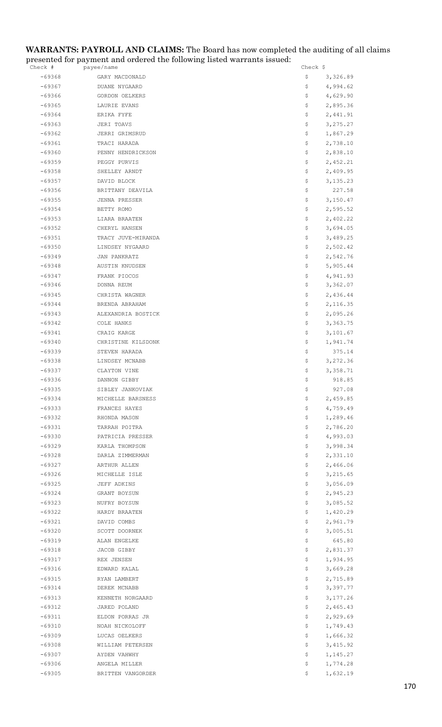#### **WARRANTS: PAYROLL AND CLAIMS:** The Board has now completed the auditing of all claims presented for payment and ordered the following listed warrants issued:

| Check #  | payee/name         | Check \$        |
|----------|--------------------|-----------------|
| $-69368$ | GARY MACDONALD     | \$<br>3,326.89  |
| $-69367$ | DUANE NYGAARD      | \$<br>4,994.62  |
| $-69366$ | GORDON OELKERS     | \$<br>4,629.90  |
| $-69365$ | LAURIE EVANS       | \$<br>2,895.36  |
| $-69364$ | ERIKA FYFE         | \$<br>2,441.91  |
| $-69363$ | JERI TOAVS         | \$<br>3, 275.27 |
| $-69362$ | JERRI GRIMSRUD     | \$<br>1,867.29  |
| $-69361$ | TRACI HARADA       | \$<br>2,738.10  |
| $-69360$ | PENNY HENDRICKSON  | \$<br>2,838.10  |
| $-69359$ | PEGGY PURVIS       | \$<br>2,452.21  |
| $-69358$ | SHELLEY ARNDT      | 2,409.95<br>\$. |
| $-69357$ | DAVID BLOCK        | \$<br>3, 135.23 |
| $-69356$ | BRITTANY DEAVILA   | \$<br>227.58    |
| $-69355$ | JENNA PRESSER      | \$<br>3,150.47  |
| $-69354$ | BETTY ROMO         | 2,595.52<br>\$. |
| $-69353$ | LIARA BRAATEN      | \$.<br>2,402.22 |
| $-69352$ | CHERYL HANSEN      | \$<br>3,694.05  |
| $-69351$ | TRACY JUVE-MIRANDA | \$<br>3,489.25  |
| $-69350$ | LINDSEY NYGAARD    | \$<br>2,502.42  |
| $-69349$ | JAN PANKRATZ       | \$<br>2,542.76  |
| $-69348$ | AUSTIN KNUDSEN     | \$<br>5,905.44  |
| $-69347$ | FRANK PIOCOS       | \$<br>4,941.93  |
| -69346   | DONNA REUM         | \$<br>3,362.07  |
| $-69345$ | CHRISTA WAGNER     | \$<br>2,436.44  |
| $-69344$ | BRENDA ABRAHAM     | \$<br>2,116.35  |
| $-69343$ | ALEXANDRIA BOSTICK | \$<br>2,095.26  |
| $-69342$ | COLE HANKS         | 3,363.75<br>\$. |
| $-69341$ | CRAIG KARGE        | \$<br>3,101.67  |
| $-69340$ | CHRISTINE KILSDONK | \$<br>1,941.74  |
| $-69339$ | STEVEN HARADA      | \$<br>375.14    |
| $-69338$ | LINDSEY MCNABB     | 3,272.36<br>\$. |
| $-69337$ | CLAYTON VINE       | \$<br>3,358.71  |
| $-69336$ | DANNON GIBBY       | \$<br>918.85    |
| $-69335$ | SIBLEY JANKOVIAK   | \$<br>927.08    |
| -69334   | MICHELLE BARSNESS  | Ş.<br>2,459.85  |
| $-69333$ | FRANCES HAYES      | 4,759.49<br>\$  |
| $-69332$ | RHONDA MASON       | \$<br>1,289.46  |
| $-69331$ | TARRAH POITRA      | \$<br>2,786.20  |
| $-69330$ | PATRICIA PRESSER   | \$<br>4,993.03  |
| $-69329$ | KARLA THOMPSON     | \$<br>3,998.34  |
| $-69328$ | DARLA ZIMMERMAN    | \$<br>2,331.10  |
| $-69327$ | ARTHUR ALLEN       | \$<br>2,466.06  |
| $-69326$ | MICHELLE ISLE      | 3,215.65<br>\$. |
| $-69325$ | JEFF ADKINS        | \$<br>3,056.09  |
| $-69324$ | GRANT BOYSUN       | \$<br>2,945.23  |
| $-69323$ | NUFRY BOYSUN       | \$<br>3,085.52  |
| $-69322$ | HARDY BRAATEN      | 1,420.29<br>\$  |
| $-69321$ | DAVID COMBS        | \$<br>2,961.79  |
| $-69320$ | SCOTT DOORNEK      | \$<br>3,005.51  |
| $-69319$ | ALAN ENGELKE       | \$<br>645.80    |
| $-69318$ | JACOB GIBBY        | \$<br>2,831.37  |
| $-69317$ | REX JENSEN         | 1,934.95<br>\$  |
| $-69316$ | EDWARD KALAL       | \$<br>3,669.28  |
| $-69315$ | RYAN LAMBERT       | \$<br>2,715.89  |
| $-69314$ | DEREK MCNABB       | \$<br>3,397.77  |
| $-69313$ | KENNETH NORGAARD   | \$<br>3,177.26  |
| $-69312$ | JARED POLAND       | \$<br>2,465.43  |
| $-69311$ | ELDON PORRAS JR    | \$<br>2,929.69  |
| $-69310$ | NOAH NICKOLOFF     | 1,749.43<br>Ş.  |
| $-69309$ | LUCAS OELKERS      | \$<br>1,666.32  |
| $-69308$ | WILLIAM PETERSEN   | \$<br>3, 415.92 |
| $-69307$ | AYDEN VAHWHY       | \$<br>1,145.27  |
| $-69306$ | ANGELA MILLER      | \$<br>1,774.28  |
| $-69305$ | BRITTEN VANGORDER  | \$<br>1,632.19  |
|          |                    |                 |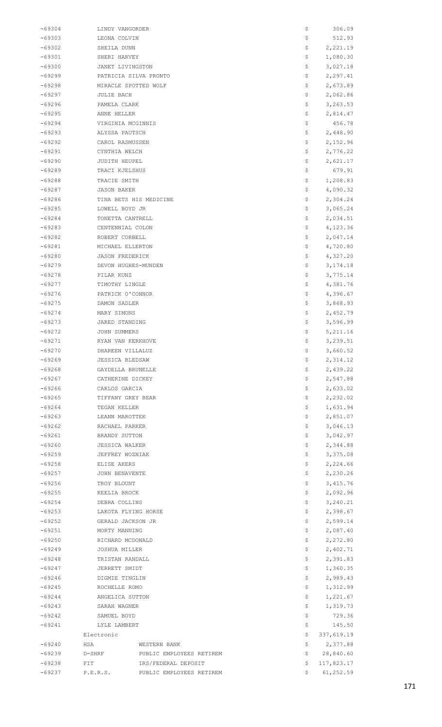| $-69304$ | LINDY VANGORDER        |                          | \$  | 306.09     |
|----------|------------------------|--------------------------|-----|------------|
| $-69303$ | LEONA COLVIN           |                          | \$  | 512.93     |
| -69302   | SHEILA DUNN            |                          | \$  | 2,221.19   |
| $-69301$ | SHERI HARVEY           |                          | \$. | 1,080.30   |
| $-69300$ | JANET LIVINGSTON       |                          | \$  | 3,027.18   |
| -69299   |                        | PATRICIA SILVA PRONTO    | \$  | 2,297.41   |
| -69298   |                        | MIRACLE SPOTTED WOLF     | \$  | 2,673.89   |
| $-69297$ | JULIE BACH             |                          | \$  | 2,062.86   |
| $-69296$ | PAMELA CLARK           |                          | \$. | 3,263.53   |
| $-69295$ | ANNE HELLER            |                          | \$. | 2,814.47   |
| $-69294$ | VIRGINIA MCGINNIS      |                          | \$  | 456.78     |
| $-69293$ | ALYSSA PAUTSCH         |                          | \$  | 2,448.90   |
|          |                        |                          |     |            |
| $-69292$ | CAROL RASMUSSEN        |                          | \$  | 2,152.96   |
| $-69291$ | CYNTHIA WELCH          |                          | Ş.  | 2,776.22   |
| $-69290$ | JUDITH HEUPEL          |                          | \$. | 2,621.17   |
| $-69289$ | TRACI KJELSHUS         |                          | \$  | 679.91     |
| $-69288$ | TRACIE SMITH           |                          | \$  | 1,208.83   |
| $-69287$ | JASON BAKER            |                          | \$  | 4,090.32   |
| -69286   |                        | TINA BETS HIS MEDICINE   | Ş.  | 2,304.24   |
| $-69285$ | LOWELL BOYD JR         |                          | \$. | 3,065.24   |
| $-69284$ | TONETTA CANTRELL       |                          | \$. | 2,034.51   |
| $-69283$ | CENTENNIAL COLON       |                          | \$  | 4,123.36   |
| $-69282$ | ROBERT CORBELL         |                          | \$  | 2,047.14   |
| $-69281$ | MICHAEL ELLERTON       |                          | Ş.  | 4,720.80   |
| $-69280$ | <b>JASON FREDERICK</b> |                          | \$. | 4,327.20   |
| -69279   |                        | DEVON HUGHES-MUNDEN      | \$. | 3,174.18   |
| $-69278$ | PILAR KUNZ             |                          | \$  | 3,775.14   |
| -69277   | TIMOTHY LINGLE         |                          | \$  | 4,381.76   |
| $-69276$ |                        |                          | \$  | 4,396.67   |
|          | PATRICK O'CONNOR       |                          |     |            |
| $-69275$ | DAMON SADLER           |                          | Ş.  | 3,868.93   |
| $-69274$ | MARY SIMONS            |                          | \$. | 2,452.79   |
| $-69273$ | JARED STANDING         |                          | \$. | 3,596.99   |
| $-69272$ | JOHN SUMMERS           |                          | \$  | 5, 211.16  |
| $-69271$ | RYAN VAN KERKHOVE      |                          | \$  | 3,239.51   |
| -69270   | DHAREEN VILLALUZ       |                          | Ş   | 3,660.52   |
| $-69269$ | <b>JESSICA BLEDSAW</b> |                          | Ş   | 2,314.12   |
| $-69268$ | GAYDELLA BRUNELLE      |                          | \$  | 2,439.22   |
| $-69267$ | CATHERINE DICKEY       |                          | \$  | 2,547.88   |
| $-69266$ | CARLOS GARCIA          |                          | \$  | 2,633.02   |
| $-69265$ | TIFFANY GREY BEAR      |                          | \$  | 2,232.02   |
| $-69264$ | TEGAN KELLER           |                          | \$. | 1,631.94   |
| $-69263$ | LEANN MAROTTEK         |                          | \$. | 2,851.07   |
| $-69262$ | RACHAEL PARKER         |                          | \$  | 3,046.13   |
| $-69261$ | BRANDY SUTTON          |                          | \$  | 3,042.97   |
| $-69260$ | <b>JESSICA WALKER</b>  |                          | \$  | 2,344.88   |
| $-69259$ | JEFFREY WOZNIAK        |                          | \$  | 3,375.08   |
| $-69258$ | ELISE AKERS            |                          | \$. | 2,224.66   |
| $-69257$ | JOHN BENAVENTE         |                          | \$. | 2,230.26   |
| $-69256$ | TROY BLOUNT            |                          | \$  | 3,415.76   |
|          |                        |                          |     |            |
| $-69255$ | KEELIA BROCK           |                          | \$  | 2,092.96   |
| $-69254$ | DEBRA COLLINS          |                          | \$  | 3,240.21   |
| $-69253$ |                        | LAKOTA FLYING HORSE      | \$. | 2,398.67   |
| $-69252$ | GERALD JACKSON JR      |                          | \$  | 2,599.14   |
| $-69251$ | MORTY MANNING          |                          | \$  | 2,087.40   |
| $-69250$ | RICHARD MCDONALD       |                          | \$  | 2,272.80   |
| $-69249$ | JOSHUA MILLER          |                          | \$  | 2,402.71   |
| $-69248$ | TRISTAN RANDALL        |                          | \$. | 2,391.83   |
| $-69247$ | JERRETT SMIDT          |                          | \$. | 1,360.35   |
| $-69246$ | DIGMIE TINGLIN         |                          | \$  | 2,989.43   |
| $-69245$ | ROCHELLE ROMO          |                          | \$  | 1,312.99   |
| $-69244$ | ANGELICA SUTTON        |                          | \$  | 1,221.67   |
| $-69243$ | SARAH WAGNER           |                          | Ş.  | 1,319.73   |
| $-69242$ | SAMUEL BOYD            |                          | \$. | 729.36     |
| $-69241$ | LYLE LAMBERT           |                          | \$  | 145.50     |
|          | Electronic             |                          | \$  | 337,619.19 |
| $-69240$ | HSA                    | WESTERN BANK             | \$  | 2,377.88   |
| $-69239$ | D-SHRF                 | PUBLIC EMPLOYEES RETIREM | Ş.  | 28,840.60  |
| $-69238$ | FIT                    | IRS/FEDERAL DEPOSIT      | \$. | 117,823.17 |
| -69237   | P.E.R.S.               | PUBLIC EMPLOYEES RETIREM | S.  | 61,252.59  |
|          |                        |                          |     |            |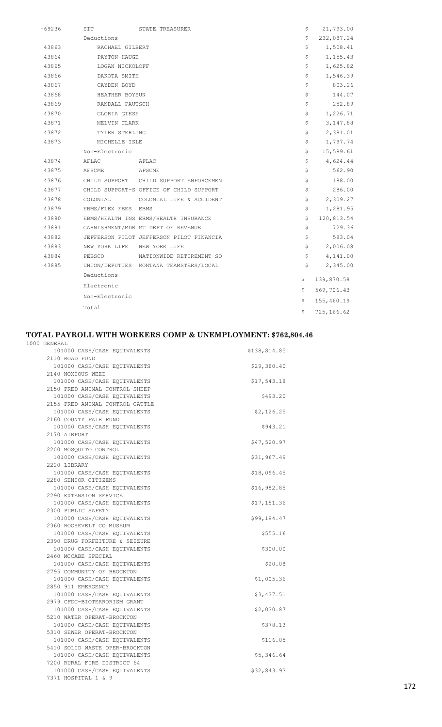| $-69236$ | SIT                 | STATE TREASURER                          | \$ | 21,793.00  |
|----------|---------------------|------------------------------------------|----|------------|
|          | Deductions          |                                          | \$ | 232,087.24 |
| 43863    | RACHAEL GILBERT     |                                          | \$ | 1,508.41   |
| 43864    | PAYTON HAUGE        |                                          | \$ | 1,155.43   |
| 43865    | LOGAN NICKOLOFF     |                                          | \$ | 1,625.82   |
| 43866    | DAKOTA SMITH        |                                          | \$ | 1,546.39   |
| 43867    | CAYDEN BOYD         |                                          | \$ | 803.26     |
| 43868    | HEATHER BOYSUN      |                                          | \$ | 144.07     |
| 43869    | RANDALL PAUTSCH     |                                          | \$ | 252.89     |
| 43870    | GLORIA GIESE        |                                          | \$ | 1,226.71   |
| 43871    | MELVIN CLARK        |                                          | \$ | 3,147.88   |
| 43872    | TYLER STERLING      |                                          | \$ | 2,381.01   |
| 43873    | MICHELLE ISLE       |                                          | \$ | 1,797.74   |
|          | Non-Electronic      |                                          | Ş. | 15,589.61  |
| 43874    | AFLAC               | AFLAC                                    | \$ | 4,624.44   |
| 43875    | AFSCME              | AFSCME                                   | \$ | 562.90     |
| 43876    |                     | CHILD SUPPORT CHILD SUPPORT ENFORCEMEN   | \$ | 188.00     |
| 43877    |                     | CHILD SUPPORT-S OFFICE OF CHILD SUPPORT  | \$ | 286.00     |
| 43878    | COLONIAL            | COLONIAL LIFE & ACCIDENT                 | \$ | 2,309.27   |
| 43879    | EBMS/FLEX FEES EBMS |                                          | \$ | 1,281.95   |
| 43880    |                     | EBMS/HEALTH INS EBMS/HEALTH INSURANCE    | \$ | 120,813.54 |
| 43881    |                     | GARNISHMENT/MDR MT DEPT OF REVENUE       | \$ | 729.36     |
| 43882    |                     | JEFFERSON PILOT JEFFERSON PILOT FINANCIA | \$ | 583.04     |
| 43883    |                     | NEW YORK LIFE NEW YORK LIFE              | \$ | 2,006.08   |
| 43884    | PEBSCO              | NATIONWIDE RETIREMENT SO                 | \$ | 4,141.00   |
| 43885    |                     | UNION/DEPUTIES MONTANA TEAMSTERS/LOCAL   | \$ | 2,345.00   |
|          | Deductions          |                                          | \$ | 139,870.58 |
|          | Electronic          |                                          | \$ | 569,706.43 |
|          | Non-Electronic      |                                          | \$ | 155,460.19 |
|          | Total               |                                          | \$ | 725,166.62 |

#### **TOTAL PAYROLL WITH WORKERS COMP & UNEMPLOYMENT: \$762,804.46**

| 1000 GENERAL                    |              |
|---------------------------------|--------------|
| 101000 CASH/CASH EQUIVALENTS    | \$138,814.85 |
| 2110 ROAD FUND                  |              |
| 101000 CASH/CASH EQUIVALENTS    | \$29,380.40  |
| 2140 NOXIOUS WEED               |              |
| 101000 CASH/CASH EQUIVALENTS    | \$17,543.18  |
| 2150 PRED ANIMAL CONTROL-SHEEP  |              |
| 101000 CASH/CASH EQUIVALENTS    | \$493.20     |
| 2155 PRED ANIMAL CONTROL-CATTLE |              |
| 101000 CASH/CASH EOUIVALENTS    | \$2,126.25   |
| 2160 COUNTY FAIR FUND           |              |
| 101000 CASH/CASH EQUIVALENTS    | \$943.21     |
| 2170 AIRPORT                    |              |
| 101000 CASH/CASH EQUIVALENTS    | \$47,520.97  |
| 2200 MOSQUITO CONTROL           |              |
| 101000 CASH/CASH EQUIVALENTS    | \$31,967.49  |
| 2220 LIBRARY                    |              |
| 101000 CASH/CASH EQUIVALENTS    | \$18,096.45  |
| 2280 SENIOR CITIZENS            |              |
| 101000 CASH/CASH EQUIVALENTS    | \$16,982.85  |
| 2290 EXTENSION SERVICE          |              |
| 101000 CASH/CASH EQUIVALENTS    | \$17,151.36  |
| 2300 PUBLIC SAFETY              |              |
| 101000 CASH/CASH EQUIVALENTS    | \$99,184.47  |
| 2360 ROOSEVELT CO MUSEUM        |              |
| 101000 CASH/CASH EQUIVALENTS    | \$555.16     |
| 2390 DRUG FORFEITURE & SEIZURE  |              |
| 101000 CASH/CASH EQUIVALENTS    | \$300.00     |
| 2460 MCCABE SPECIAL             |              |
| 101000 CASH/CASH EQUIVALENTS    | \$20.08      |
| 2795 COMMUNITY OF BROCKTON      |              |
| 101000 CASH/CASH EQUIVALENTS    | \$1,005.36   |
| 2850 911 EMERGENCY              |              |
| 101000 CASH/CASH EOUIVALENTS    | \$3,437.51   |
| 2979 CFDC-BIOTERRORISM GRANT    |              |
| 101000 CASH/CASH EQUIVALENTS    | \$2,030.87   |
| 5210 WATER OPERAT-BROCKTON      |              |
| 101000 CASH/CASH EQUIVALENTS    | \$378.13     |
| 5310 SEWER OPERAT-BROCKTON      |              |
| 101000 CASH/CASH EQUIVALENTS    | \$116.05     |
| 5410 SOLID WASTE OPER-BROCKTON  |              |
| 101000 CASH/CASH EQUIVALENTS    | \$5,346.64   |
| 7200 RURAL FIRE DISTRICT 64     |              |
| 101000 CASH/CASH EQUIVALENTS    | \$32,843.93  |
| 7371 HOSPITAL 1 & 9             |              |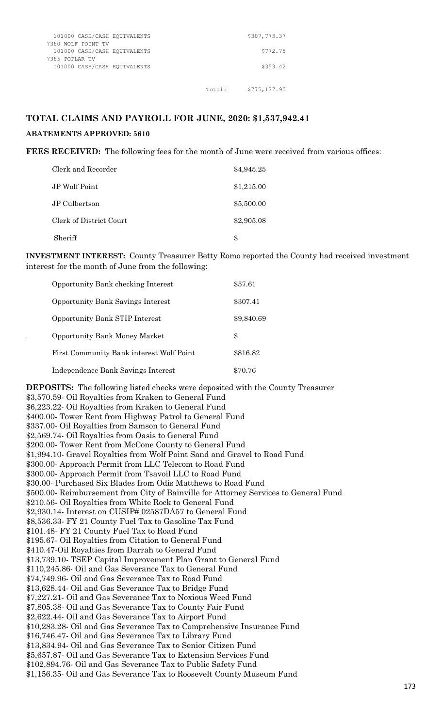| 101000 CASH/CASH EOUIVALENTS                       |        | \$307,773.37  |
|----------------------------------------------------|--------|---------------|
| 7380 WOLF POINT TV<br>101000 CASH/CASH EQUIVALENTS |        | \$772.75      |
| 7385 POPLAR TV                                     |        |               |
| 101000 CASH/CASH EQUIVALENTS                       |        | \$353.42      |
|                                                    |        |               |
|                                                    | Total: | \$775, 137.95 |

#### **TOTAL CLAIMS AND PAYROLL FOR JUNE, 2020: \$1,537,942.41**

#### **ABATEMENTS APPROVED: 5610**

**FEES RECEIVED:** The following fees for the month of June were received from various offices:

| Clerk and Recorder      | \$4,945.25 |
|-------------------------|------------|
| JP Wolf Point           | \$1,215.00 |
| JP Culbertson           | \$5,500.00 |
| Clerk of District Court | \$2,905.08 |
| Sheriff                 | \$         |

**INVESTMENT INTEREST:** County Treasurer Betty Romo reported the County had received investment interest for the month of June from the following:

| <b>Opportunity Bank checking Interest</b> | \$57.61    |
|-------------------------------------------|------------|
| <b>Opportunity Bank Savings Interest</b>  | \$307.41   |
| <b>Opportunity Bank STIP Interest</b>     | \$9,840.69 |
| <b>Opportunity Bank Money Market</b>      | \$         |
| First Community Bank interest Wolf Point  | \$816.82   |
| Independence Bank Savings Interest        | \$70.76    |

**DEPOSITS:** The following listed checks were deposited with the County Treasurer \$3,570.59- Oil Royalties from Kraken to General Fund \$6,223.22- Oil Royalties from Kraken to General Fund \$400.00- Tower Rent from Highway Patrol to General Fund \$337.00- Oil Royalties from Samson to General Fund \$2,569.74- Oil Royalties from Oasis to General Fund \$200.00- Tower Rent from McCone County to General Fund \$1,994.10- Gravel Royalties from Wolf Point Sand and Gravel to Road Fund \$300.00- Approach Permit from LLC Telecom to Road Fund \$300.00- Approach Permit from Tsavoil LLC to Road Fund \$30.00- Purchased Six Blades from Odis Matthews to Road Fund \$500.00- Reimbursement from City of Bainville for Attorney Services to General Fund \$210.56- Oil Royalties from White Rock to General Fund \$2,930.14- Interest on CUSIP# 02587DA57 to General Fund \$8,536.33- FY 21 County Fuel Tax to Gasoline Tax Fund \$101.48- FY 21 County Fuel Tax to Road Fund \$195.67- Oil Royalties from Citation to General Fund \$410.47-Oil Royalties from Darrah to General Fund \$13,739.10- TSEP Capital Improvement Plan Grant to General Fund \$110,245.86- Oil and Gas Severance Tax to General Fund \$74,749.96- Oil and Gas Severance Tax to Road Fund \$13,628.44- Oil and Gas Severance Tax to Bridge Fund \$7,227.21- Oil and Gas Severance Tax to Noxious Weed Fund \$7,805.38- Oil and Gas Severance Tax to County Fair Fund \$2,622.44- Oil and Gas Severance Tax to Airport Fund \$10,283.28- Oil and Gas Severance Tax to Comprehensive Insurance Fund \$16,746.47- Oil and Gas Severance Tax to Library Fund \$13,834.94- Oil and Gas Severance Tax to Senior Citizen Fund \$5,657.87- Oil and Gas Severance Tax to Extension Services Fund \$102,894.76- Oil and Gas Severance Tax to Public Safety Fund \$1,156.35- Oil and Gas Severance Tax to Roosevelt County Museum Fund